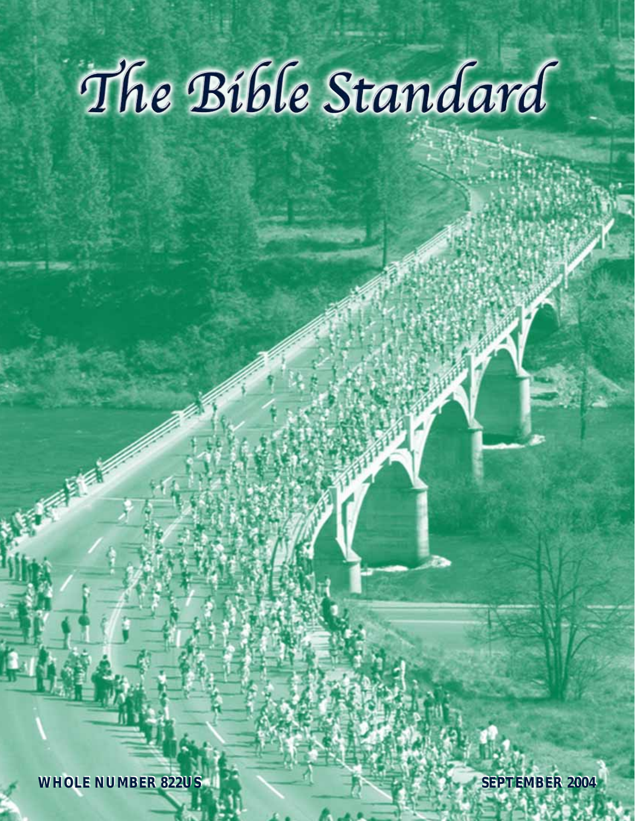# The Bible Standard

**WHOLE NUMBER 822US WHOLE NUMBER 822US**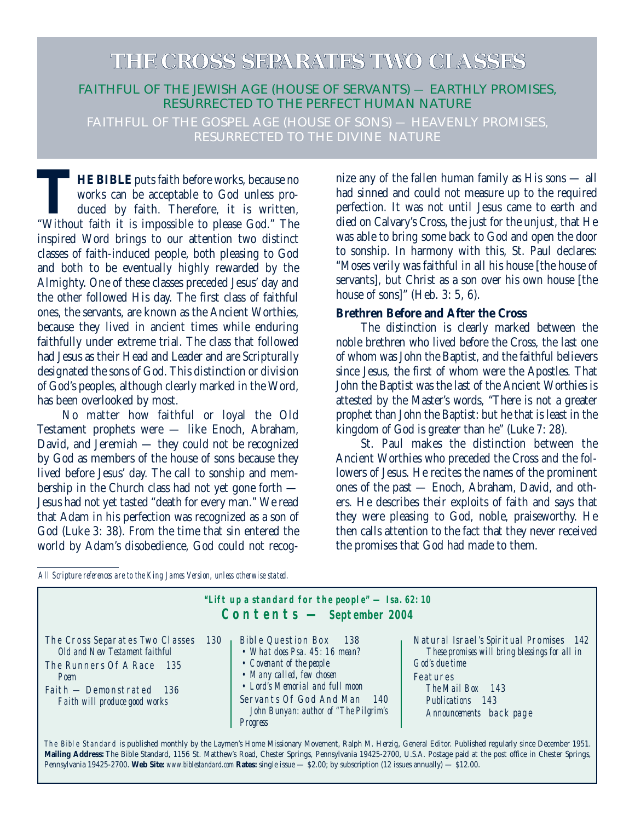# **THE CROSS SEPARATES TWO CLASSES**

# FAITHFUL OF THE JEWISH AGE (HOUSE OF SERVANTS) — EARTHLY PROMISES, RESURRECTED TO THE PERFECT HUMAN NATURE

FAITHFUL OF THE GOSPEL AGE (HOUSE OF SONS) — HEAVENLY PROMISES. RESURRECTED TO THE DIVINE NATURE

**THE BIBLE** puts faith before works, because no works can be acceptable to God unless produced by faith. Therefore, it is written, "Without faith it is impossible to please God." The inspired Word brings to our attention two distinct classes of faith-induced people, both pleasing to God and both to be eventually highly rewarded by the Almighty. One of these classes preceded Jesus' day and the other followed His day. The first class of faithful ones, the servants, are known as the Ancient Worthies, because they lived in ancient times while enduring faithfully under extreme trial. The class that followed had Jesus as their Head and Leader and are Scripturally designated the sons of God. This distinction or division of God's peoples, although clearly marked in the Word, has been overlooked by most.

No matter how faithful or loyal the Old Testament prophets were — like Enoch, Abraham, David, and Jeremiah — they could not be recognized by God as members of the house of sons because they lived before Jesus' day. The call to sonship and membership in the Church class had not yet gone forth — Jesus had not yet tasted "death for every man." We read that Adam in his perfection was recognized as a son of God (Luke 3: 38). From the time that sin entered the world by Adam's disobedience, God could not recognize any of the fallen human family as His sons — all had sinned and could not measure up to the required perfection. It was not until Jesus came to earth and died on Calvary's Cross, the just for the unjust, that He was able to bring some back to God and open the door to sonship. In harmony with this, St. Paul declares: "Moses verily was faithful in all his house [the house of servants], but Christ as a son over his own house [the house of sons]" (Heb. 3: 5, 6).

#### **Brethren Before and After the Cross**

The distinction is clearly marked between the noble brethren who lived before the Cross, the last one of whom was John the Baptist, and the faithful believers since Jesus, the first of whom were the Apostles. That John the Baptist was the last of the Ancient Worthies is attested by the Master's words, "There is not a greater prophet than John the Baptist: but he that is least in the kingdom of God is greater than he" (Luke 7: 28).

St. Paul makes the distinction between the Ancient Worthies who preceded the Cross and the followers of Jesus. He recites the names of the prominent ones of the past — Enoch, Abraham, David, and others. He describes their exploits of faith and says that they were pleasing to God, noble, praiseworthy. He then calls attention to the fact that they never received the promises that God had made to them.

*All Scripture references are to the King James Version, unless otherwise stated.*

| "Lift up a standard for the people" $-$ Isa. 62: 10<br>$\text{Contents} - \text{September} 2004$                                                                                                                                                                                                                                                                                                                                                                                                                                                                                                |                                                                                                                                                                                                                                                   |                                                                                                                                                                                                   |  |  |  |
|-------------------------------------------------------------------------------------------------------------------------------------------------------------------------------------------------------------------------------------------------------------------------------------------------------------------------------------------------------------------------------------------------------------------------------------------------------------------------------------------------------------------------------------------------------------------------------------------------|---------------------------------------------------------------------------------------------------------------------------------------------------------------------------------------------------------------------------------------------------|---------------------------------------------------------------------------------------------------------------------------------------------------------------------------------------------------|--|--|--|
| 130<br>The Cross Separates Two Classes<br>Old and New Testament faithful<br>The Runners Of A Race 135<br>Poem<br>Faith - Demonstrated 136<br>Faith will produce good works                                                                                                                                                                                                                                                                                                                                                                                                                      | Bible Question Box<br>- 138<br>• What does Psa, $45:16$ mean?<br>• Covenant of the people<br>• Many called, few chosen<br>• Lord's Memorial and full moon<br>Servants Of God And Man<br>-140<br>John Bunyan: author of "The Pilgrim's<br>Progress | Natural Israel's Spiritual Promises 142<br>These promises will bring blessings for all in<br>God's due time<br>Features<br>The Mail Box 143<br>Publications 143<br><i>Announcements</i> back page |  |  |  |
| The Bible Standard is published monthly by the Laymen's Home Missionary Movement, Ralph M. Herzig, General Editor. Published regularly since December 1951.<br>$\overline{m}$ $\overline{n}$ $\overline{n}$ $\overline{n}$ $\overline{n}$ $\overline{n}$ $\overline{n}$ $\overline{n}$ $\overline{n}$ $\overline{n}$ $\overline{n}$ $\overline{n}$ $\overline{n}$ $\overline{n}$ $\overline{n}$ $\overline{n}$ $\overline{n}$ $\overline{n}$ $\overline{n}$ $\overline{n}$ $\overline{n}$ $\overline{n}$ $\overline{n}$ $\overline{n}$ $\overline{n}$ $\overline{n}$ $\overline{n}$ $\overline$ |                                                                                                                                                                                                                                                   |                                                                                                                                                                                                   |  |  |  |

**Mailing Address:** The Bible Standard, 1156 St. Matthew's Road, Chester Springs, Pennsylvania 19425-2700, U.S.A. Postage paid at the post office in Chester Springs, Pennsylvania 19425-2700. **Web Site:** *www.biblestandard.com* **Rates:** single issue — \$2.00; by subscription (12 issues annually) — \$12.00.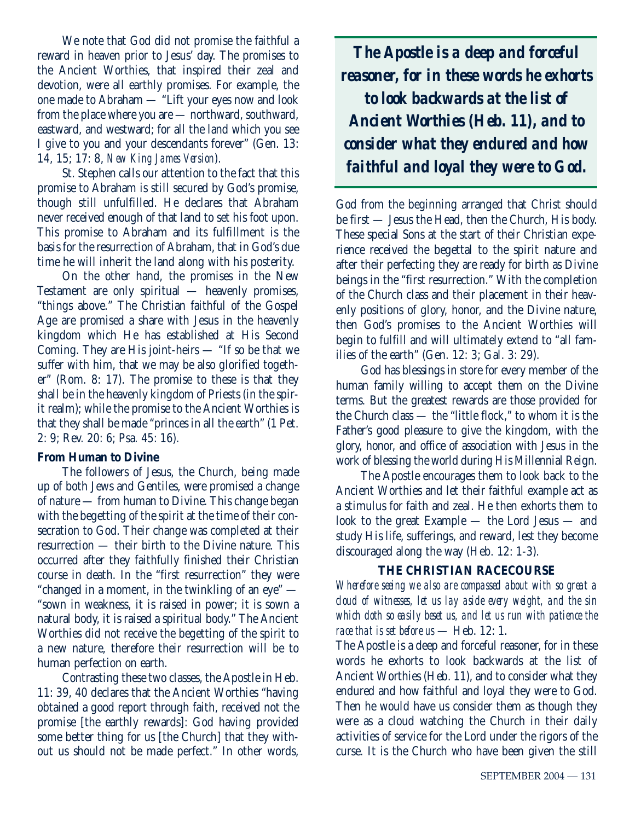We note that God did not promise the faithful a reward in heaven prior to Jesus' day. The promises to the Ancient Worthies, that inspired their zeal and devotion, were all earthly promises. For example, the one made to Abraham — "Lift your eyes now and look from the place where you are — northward, southward, eastward, and westward; for all the land which you see I give to you and your descendants forever" (Gen. 13: 14, 15; 17: 8, *New King James Version*).

St. Stephen calls our attention to the fact that this promise to Abraham is still secured by God's promise, though still unfulfilled. He declares that Abraham never received enough of that land to set his foot upon. This promise to Abraham and its fulfillment is the basis for the resurrection of Abraham, that in God's due time he will inherit the land along with his posterity.

On the other hand, the promises in the New Testament are only spiritual — heavenly promises, "things above." The Christian faithful of the Gospel Age are promised a share with Jesus in the heavenly kingdom which He has established at His Second Coming. They are His joint-heirs — "If so be that we suffer with him, that we may be also glorified together" (Rom. 8: 17). The promise to these is that they shall be in the heavenly kingdom of Priests (in the spirit realm); while the promise to the Ancient Worthies is that they shall be made "princes in all the earth" (1 Pet. 2: 9; Rev. 20: 6; Psa. 45: 16).

#### **From Human to Divine**

The followers of Jesus, the Church, being made up of both Jews and Gentiles, were promised a change of nature — from human to Divine. This change began with the begetting of the spirit at the time of their consecration to God. Their change was completed at their resurrection — their birth to the Divine nature. This occurred after they faithfully finished their Christian course in death. In the "first resurrection" they were "changed in a moment, in the twinkling of an eye" — "sown in weakness, it is raised in power; it is sown a natural body, it is raised a spiritual body." The Ancient Worthies did not receive the begetting of the spirit to a new nature, therefore their resurrection will be to human perfection on earth.

Contrasting these two classes, the Apostle in Heb. 11: 39, 40 declares that the Ancient Worthies "having obtained a good report through faith, received not the promise [the earthly rewards]: God having provided some better thing for us [the Church] that they without us should not be made perfect." In other words,

*The Apostle is a deep and forceful reasoner, for in these words he exhorts to look backwards at the list of Ancient Worthies (Heb. 11), and to consider what they endured and how faithful and loyal they were to God.*

God from the beginning arranged that Christ should be first — Jesus the Head, then the Church, His body. These special Sons at the start of their Christian experience received the begettal to the spirit nature and after their perfecting they are ready for birth as Divine beings in the "first resurrection." With the completion of the Church class and their placement in their heavenly positions of glory, honor, and the Divine nature, then God's promises to the Ancient Worthies will begin to fulfill and will ultimately extend to "all families of the earth" (Gen. 12: 3; Gal. 3: 29).

God has blessings in store for every member of the human family willing to accept them on the Divine terms. But the greatest rewards are those provided for the Church class — the "little flock," to whom it is the Father's good pleasure to give the kingdom, with the glory, honor, and office of association with Jesus in the work of blessing the world during His Millennial Reign.

The Apostle encourages them to look back to the Ancient Worthies and let their faithful example act as a stimulus for faith and zeal. He then exhorts them to look to the great Example — the Lord Jesus — and study His life, sufferings, and reward, lest they become discouraged along the way (Heb. 12: 1-3).

# **THE CHRISTIAN RACECOURSE**

*Wherefore seeing we also are compassed about with so great a cloud of witnesses, let us lay aside every weight, and the sin which doth so easily beset us, and let us run with patience the race that is set before us* — Heb. 12: 1.

The Apostle is a deep and forceful reasoner, for in these words he exhorts to look backwards at the list of Ancient Worthies (Heb. 11), and to consider what they endured and how faithful and loyal they were to God. Then he would have us consider them as though they were as a cloud watching the Church in their daily activities of service for the Lord under the rigors of the curse. It is the Church who have been given the still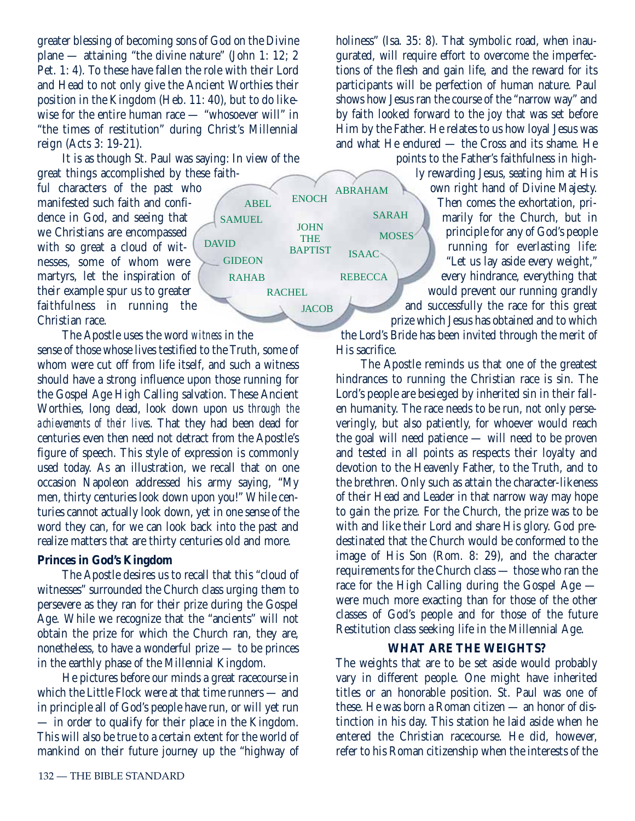greater blessing of becoming sons of God on the Divine plane — attaining "the divine nature" (John 1: 12; 2 Pet. 1: 4). To these have fallen the role with their Lord and Head to not only give the Ancient Worthies their position in the Kingdom (Heb. 11: 40), but to do likewise for the entire human race — "whosoever will" in "the times of restitution" during Christ's Millennial reign (Acts 3: 19-21).

It is as though St. Paul was saying: In view of the great things accomplished by these faith-

ful characters of the past who manifested such faith and confidence in God, and seeing that we Christians are encompassed with so great a cloud of witnesses, some of whom were martyrs, let the inspiration of their example spur us to greater faithfulness in running the Christian race.

The Apostle uses the word *witness* in the sense of those whose lives testified to the Truth, some of whom were cut off from life itself, and such a witness should have a strong influence upon those running for the Gospel Age High Calling salvation. These Ancient Worthies, long dead, look down upon us *through the achievements of their lives*. That they had been dead for centuries even then need not detract from the Apostle's figure of speech. This style of expression is commonly used today. As an illustration, we recall that on one occasion Napoleon addressed his army saying, "My men, thirty centuries look down upon you!" While centuries cannot actually look down, yet in one sense of the word they can, for we can look back into the past and realize matters that are thirty centuries old and more.

#### **Princes in God's Kingdom**

The Apostle desires us to recall that this "cloud of witnesses" surrounded the Church class urging them to persevere as they ran for their prize during the Gospel Age. While we recognize that the "ancients" will not obtain the prize for which the Church ran, they are, nonetheless, to have a wonderful prize — to be princes in the earthly phase of the Millennial Kingdom.

He pictures before our minds a great racecourse in which the Little Flock were at that time runners — and in principle all of God's people have run, or will yet run — in order to qualify for their place in the Kingdom. This will also be true to a certain extent for the world of mankind on their future journey up the "highway of holiness" (Isa. 35: 8). That symbolic road, when inaugurated, will require effort to overcome the imperfections of the flesh and gain life, and the reward for its participants will be perfection of human nature. Paul shows how Jesus ran the course of the "narrow way" and by faith looked forward to the joy that was set before Him by the Father. He relates to us how loyal Jesus was and what He endured — the Cross and its shame. He

points to the Father's faithfulness in highly rewarding Jesus, seating him at His own right hand of Divine Majesty. Then comes the exhortation, primarily for the Church, but in principle for any of God's people running for everlasting life: "Let us lay aside every weight," every hindrance, everything that would prevent our running grandly and successfully the race for this great

prize which Jesus has obtained and to which the Lord's Bride has been invited through the merit of His sacrifice.

The Apostle reminds us that one of the greatest hindrances to running the Christian race is sin. The Lord's people are besieged by inherited sin in their fallen humanity. The race needs to be run, not only perseveringly, but also patiently, for whoever would reach the goal will need patience — will need to be proven and tested in all points as respects their loyalty and devotion to the Heavenly Father, to the Truth, and to the brethren. Only such as attain the character-likeness of their Head and Leader in that narrow way may hope to gain the prize. For the Church, the prize was to be with and like their Lord and share His glory. God predestinated that the Church would be conformed to the image of His Son (Rom. 8: 29), and the character requirements for the Church class — those who ran the race for the High Calling during the Gospel Age were much more exacting than for those of the other classes of God's people and for those of the future Restitution class seeking life in the Millennial Age.

#### **WHAT ARE THE WEIGHTS?**

The weights that are to be set aside would probably vary in different people. One might have inherited titles or an honorable position. St. Paul was one of these. He was born a Roman citizen — an honor of distinction in his day. This station he laid aside when he entered the Christian racecourse. He did, however, refer to his Roman citizenship when the interests of the



ABRAHAM

**REBECCA** 

ISAAC

**MOSES** 

SARAH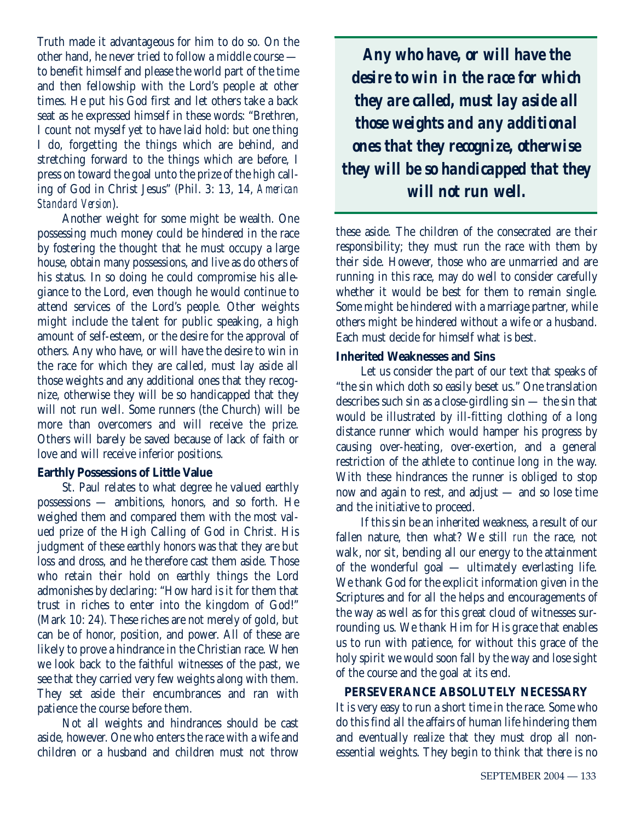Truth made it advantageous for him to do so. On the other hand, he never tried to follow a middle course to benefit himself and please the world part of the time and then fellowship with the Lord's people at other times. He put his God first and let others take a back seat as he expressed himself in these words: "Brethren, I count not myself yet to have laid hold: but one thing I do, forgetting the things which are behind, and stretching forward to the things which are before, I press on toward the goal unto the prize of the high calling of God in Christ Jesus" (Phil. 3: 13, 14, *American Standard Version*).

Another weight for some might be wealth. One possessing much money could be hindered in the race by fostering the thought that he must occupy a large house, obtain many possessions, and live as do others of his status. In so doing he could compromise his allegiance to the Lord, even though he would continue to attend services of the Lord's people. Other weights might include the talent for public speaking, a high amount of self-esteem, or the desire for the approval of others. Any who have, or will have the desire to win in the race for which they are called, must lay aside all those weights and any additional ones that they recognize, otherwise they will be so handicapped that they will not run well. Some runners (the Church) will be more than overcomers and will receive the prize. Others will barely be saved because of lack of faith or love and will receive inferior positions.

#### **Earthly Possessions of Little Value**

St. Paul relates to what degree he valued earthly possessions — ambitions, honors, and so forth. He weighed them and compared them with the most valued prize of the High Calling of God in Christ. His judgment of these earthly honors was that they are but loss and dross, and he therefore cast them aside. Those who retain their hold on earthly things the Lord admonishes by declaring: "How hard is it for them that trust in riches to enter into the kingdom of God!" (Mark 10: 24). These riches are not merely of gold, but can be of honor, position, and power. All of these are likely to prove a hindrance in the Christian race. When we look back to the faithful witnesses of the past, we see that they carried very few weights along with them. They set aside their encumbrances and ran with patience the course before them.

Not all weights and hindrances should be cast aside, however. One who enters the race with a wife and children or a husband and children must not throw

*Any who have, or will have the desire to win in the race for which they are called, must lay aside all those weights and any additional ones that they recognize, otherwise they will be so handicapped that they will not run well.* 

these aside. The children of the consecrated are their responsibility; they must run the race with them by their side. However, those who are unmarried and are running in this race, may do well to consider carefully whether it would be best for them to remain single. Some might be hindered with a marriage partner, while others might be hindered without a wife or a husband. Each must decide for himself what is best.

# **Inherited Weaknesses and Sins**

Let us consider the part of our text that speaks of "the sin which doth so easily beset us." One translation describes such sin as a close-girdling sin — the sin that would be illustrated by ill-fitting clothing of a long distance runner which would hamper his progress by causing over-heating, over-exertion, and a general restriction of the athlete to continue long in the way. With these hindrances the runner is obliged to stop now and again to rest, and adjust — and so lose time and the initiative to proceed.

If this sin be an inherited weakness, a result of our fallen nature, then what? We still *run* the race, not walk, nor sit, bending all our energy to the attainment of the wonderful goal — ultimately everlasting life. We thank God for the explicit information given in the Scriptures and for all the helps and encouragements of the way as well as for this great cloud of witnesses surrounding us. We thank Him for His grace that enables us to run with patience, for without this grace of the holy spirit we would soon fall by the way and lose sight of the course and the goal at its end.

# **PERSEVERANCE ABSOLUTELY NECESSARY**

It is very easy to run a short time in the race. Some who do this find all the affairs of human life hindering them and eventually realize that they must drop all nonessential weights. They begin to think that there is no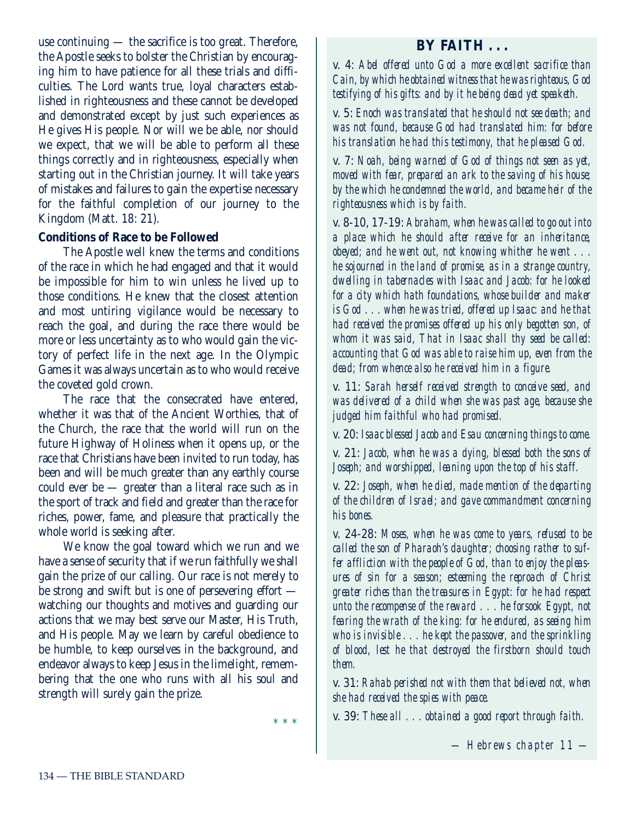use continuing — the sacrifice is too great. Therefore, the Apostle seeks to bolster the Christian by encouraging him to have patience for all these trials and difficulties. The Lord wants true, loyal characters established in righteousness and these cannot be developed and demonstrated except by just such experiences as He gives His people. Nor will we be able, nor should we expect, that we will be able to perform all these things correctly and in righteousness, especially when starting out in the Christian journey. It will take years of mistakes and failures to gain the expertise necessary for the faithful completion of our journey to the Kingdom (Matt. 18: 21).

#### **Conditions of Race to be Followed**

The Apostle well knew the terms and conditions of the race in which he had engaged and that it would be impossible for him to win unless he lived up to those conditions. He knew that the closest attention and most untiring vigilance would be necessary to reach the goal, and during the race there would be more or less uncertainty as to who would gain the victory of perfect life in the next age. In the Olympic Games it was always uncertain as to who would receive the coveted gold crown.

The race that the consecrated have entered, whether it was that of the Ancient Worthies, that of the Church, the race that the world will run on the future Highway of Holiness when it opens up, or the race that Christians have been invited to run today, has been and will be much greater than any earthly course could ever be — greater than a literal race such as in the sport of track and field and greater than the race for riches, power, fame, and pleasure that practically the whole world is seeking after.

We know the goal toward which we run and we have a sense of security that if we run faithfully we shall gain the prize of our calling. Our race is not merely to be strong and swift but is one of persevering effort watching our thoughts and motives and guarding our actions that we may best serve our Master, His Truth, and His people. May we learn by careful obedience to be humble, to keep ourselves in the background, and endeavor always to keep Jesus in the limelight, remembering that the one who runs with all his soul and strength will surely gain the prize.

\* \* \*

# **BY FAITH . . .**

v. 4: *Abel offered unto God a more excellent sacrifice than Cain, by which he obtained witness that he was righteous, God testifying of his gifts: and by it he being dead yet speaketh.*

v. 5: *Enoch was translated that he should not see death; and was not found, because God had translated him: for before his translation he had this testimony, that he pleased God.*

v. 7: *Noah, being warned of God of things not seen as yet, moved with fear, prepared an ark to the saving of his house; by the which he condemned the world, and became heir of the righteousness which is by faith.*

v. 8-10, 17-19: *Abraham, when he was called to go out into a place which he should after receive for an inheritance, obeyed; and he went out, not knowing whither he went . . . he sojourned in the land of promise, as in a strange country, dwelling in tabernacles with Isaac and Jacob: for he looked for a city which hath foundations, whose builder and maker is God . . . when he was tried, offered up Isaac: and he that had received the promises offered up his only begotten son, of whom it was said, That in Isaac shall thy seed be called: accounting that God was able to raise him up, even from the dead; from whence also he received him in a figure.*

v. 11: *Sarah herself received strength to conceive seed, and was delivered of a child when she was past age, because she judged him faithful who had promised.*

v. 20: *Isaac blessed Jacob and Esau concerning things to come.*

v. 21: *Jacob, when he was a dying, blessed both the sons of Joseph; and worshipped, leaning upon the top of his staff.*

v. 22: *Joseph, when he died, made mention of the departing of the children of Israel; and gave commandment concerning his bones.*

v. 24-28: *Moses, when he was come to years, refused to be called the son of Pharaoh's daughter; choosing rather to suffer affliction with the people of God, than to enjoy the pleasures of sin for a season; esteeming the reproach of Christ greater riches than the treasures in Egypt: for he had respect unto the recompense of the reward . . . he forsook Egypt, not fearing the wrath of the king: for he endured, as seeing him who is invisible . . . he kept the passover, and the sprinkling of blood, lest he that destroyed the firstborn should touch them.*

v. 31: *Rahab perished not with them that believed not, when she had received the spies with peace.*

v. 39: *These all . . . obtained a good report through faith.*

*— Hebrews chapter 11 —*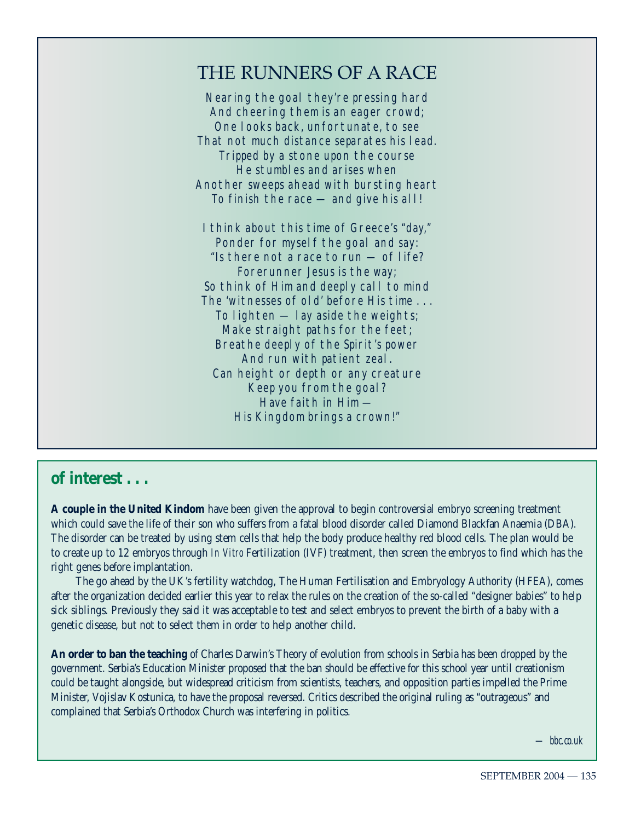# THE RUNNERS OF A RACE

Nearing the goal they're pressing hard And cheering them is an eager crowd; One looks back, unfortunate, to see That not much distance separates his lead. Tripped by a stone upon the course He stumbles and arises when Another sweeps ahead with bursting heart To finish the race — and give his all!

I think about this time of Greece's "day," Ponder for myself the goal and say: "Is there not a race to run — of life? Forerunner Jesus is the way; So think of Him and deeply call to mind The 'witnesses of old' before His time . . . To lighten  $-$  lay aside the weights; Make straight paths for the feet; Breathe deeply of the Spirit's power And run with patient zeal. Can height or depth or any creature Keep you from the goal? Have faith in Him — His Kingdom brings a crown!"

# **of interest . . .**

**A couple in the United Kindom** have been given the approval to begin controversial embryo screening treatment which could save the life of their son who suffers from a fatal blood disorder called Diamond Blackfan Anaemia (DBA). The disorder can be treated by using stem cells that help the body produce healthy red blood cells. The plan would be to create up to 12 embryos through *In Vitro* Fertilization (IVF) treatment, then screen the embryos to find which has the right genes before implantation.

The go ahead by the UK's fertility watchdog, The Human Fertilisation and Embryology Authority (HFEA), comes after the organization decided earlier this year to relax the rules on the creation of the so-called "designer babies" to help sick siblings. Previously they said it was acceptable to test and select embryos to prevent the birth of a baby with a genetic disease, but not to select them in order to help another child.

**An order to ban the teaching** of Charles Darwin's Theory of evolution from schools in Serbia has been dropped by the government. Serbia's Education Minister proposed that the ban should be effective for this school year until creationism could be taught alongside, but widespread criticism from scientists, teachers, and opposition parties impelled the Prime Minister, Vojislav Kostunica, to have the proposal reversed. Critics described the original ruling as "outrageous" and complained that Serbia's Orthodox Church was interfering in politics.

*— bbc.co.uk*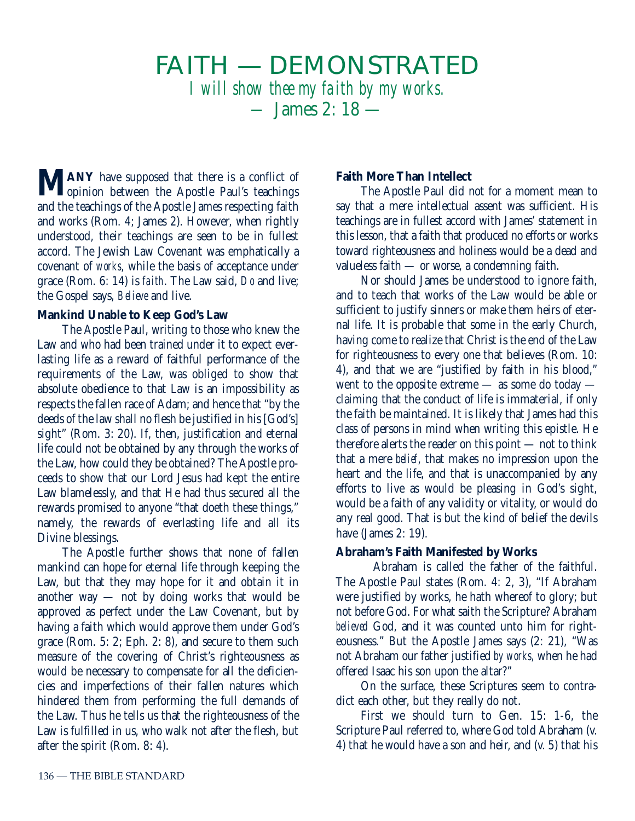# FAITH — DEMONSTRATED *I will show thee my faith by my works. —* James 2: 18 —

**MANY** have supposed that there is a conflict of opposite Paul's teachings and the teachings of the Apostle James respecting faith and works (Rom. 4; James 2). However, when rightly understood, their teachings are seen to be in fullest accord. The Jewish Law Covenant was emphatically a covenant of *works*, while the basis of acceptance under grace (Rom. 6: 14) is *faith*. The Law said, *Do* and live; the Gospel says, *Believe* and live.

## **Mankind Unable to Keep God's Law**

The Apostle Paul, writing to those who knew the Law and who had been trained under it to expect everlasting life as a reward of faithful performance of the requirements of the Law, was obliged to show that absolute obedience to that Law is an impossibility as respects the fallen race of Adam; and hence that "by the deeds of the law shall no flesh be justified in his [God's] sight" (Rom. 3: 20). If, then, justification and eternal life could not be obtained by any through the works of the Law, how could they be obtained? The Apostle proceeds to show that our Lord Jesus had kept the entire Law blamelessly, and that He had thus secured all the rewards promised to anyone "that doeth these things," namely, the rewards of everlasting life and all its Divine blessings.

The Apostle further shows that none of fallen mankind can hope for eternal life through keeping the Law, but that they may hope for it and obtain it in another way — not by doing works that would be approved as perfect under the Law Covenant, but by having a faith which would approve them under God's grace (Rom. 5: 2; Eph. 2: 8), and secure to them such measure of the covering of Christ's righteousness as would be necessary to compensate for all the deficiencies and imperfections of their fallen natures which hindered them from performing the full demands of the Law. Thus he tells us that the righteousness of the Law is fulfilled in us, who walk not after the flesh, but after the spirit (Rom. 8: 4).

# **Faith More Than Intellect**

The Apostle Paul did not for a moment mean to say that a mere intellectual assent was sufficient. His teachings are in fullest accord with James' statement in this lesson, that a faith that produced no efforts or works toward righteousness and holiness would be a dead and valueless faith — or worse, a condemning faith.

Nor should James be understood to ignore faith, and to teach that works of the Law would be able or sufficient to justify sinners or make them heirs of eternal life. It is probable that some in the early Church, having come to realize that Christ is the end of the Law for righteousness to every one that believes (Rom. 10: 4), and that we are "justified by faith in his blood," went to the opposite extreme — as some do today claiming that the conduct of life is immaterial, if only the faith be maintained. It is likely that James had this class of persons in mind when writing this epistle. He therefore alerts the reader on this point — not to think that a mere *belief*, that makes no impression upon the heart and the life, and that is unaccompanied by any efforts to live as would be pleasing in God's sight, would be a faith of any validity or vitality, or would do any real good. That is but the kind of belief the devils have (James 2: 19).

# **Abraham's Faith Manifested by Works**

Abraham is called the father of the faithful. The Apostle Paul states (Rom. 4: 2, 3), "If Abraham were justified by works, he hath whereof to glory; but not before God. For what saith the Scripture? Abraham *believed* God, and it was counted unto him for righteousness." But the Apostle James says (2: 21), "Was not Abraham our father justified *by works,* when he had offered Isaac his son upon the altar?"

On the surface, these Scriptures seem to contradict each other, but they really do not.

First we should turn to Gen. 15: 1-6, the Scripture Paul referred to, where God told Abraham (v. 4) that he would have a son and heir, and (v. 5) that his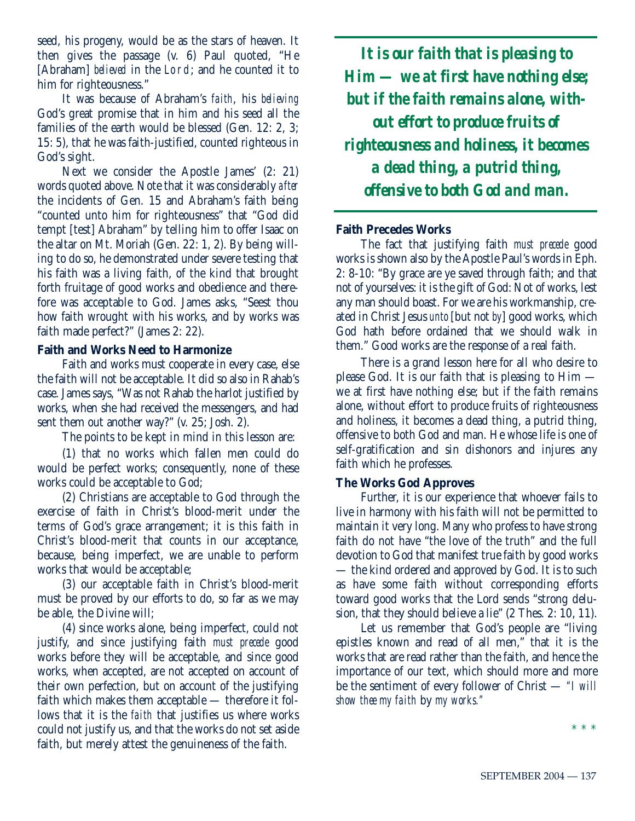seed, his progeny, would be as the stars of heaven. It then gives the passage (v. 6) Paul quoted, "He [Abraham] *believed* in the Lord; and he counted it to him for righteousness."

It was because of Abraham's *faith*, his *believing* God's great promise that in him and his seed all the families of the earth would be blessed (Gen. 12: 2, 3; 15: 5), that he was faith-justified, counted righteous in God's sight.

Next we consider the Apostle James' (2: 21) words quoted above. Note that it was considerably *after* the incidents of Gen. 15 and Abraham's faith being "counted unto him for righteousness" that "God did tempt [test] Abraham" by telling him to offer Isaac on the altar on Mt. Moriah (Gen. 22: 1, 2). By being willing to do so, he demonstrated under severe testing that his faith was a living faith, of the kind that brought forth fruitage of good works and obedience and therefore was acceptable to God. James asks, "Seest thou how faith wrought with his works, and by works was faith made perfect?" (James 2: 22).

#### **Faith and Works Need to Harmonize**

Faith and works must cooperate in every case, else the faith will not be acceptable. It did so also in Rahab's case. James says, "Was not Rahab the harlot justified by works, when she had received the messengers, and had sent them out another way?" (v. 25; Josh. 2).

The points to be kept in mind in this lesson are:

(1) that no works which fallen men could do would be perfect works; consequently, none of these works could be acceptable to God;

(2) Christians are acceptable to God through the exercise of faith in Christ's blood-merit under the terms of God's grace arrangement; it is this faith in Christ's blood-merit that counts in our acceptance, because, being imperfect, we are unable to perform works that would be acceptable;

(3) our acceptable faith in Christ's blood-merit must be proved by our efforts to do, so far as we may be able, the Divine will;

(4) since works alone, being imperfect, could not justify, and since justifying faith *must precede* good works before they will be acceptable, and since good works, when accepted, are not accepted on account of their own perfection, but on account of the justifying faith which makes them acceptable — therefore it follows that it is the *faith* that justifies us where works could not justify us, and that the works do not set aside faith, but merely attest the genuineness of the faith.

*It is our faith that is pleasing to Him — we at first have nothing else; but if the faith remains alone, without effort to produce fruits of righteousness and holiness, it becomes a dead thing, a putrid thing, offensive to both God and man.*

# **Faith Precedes Works**

The fact that justifying faith *must precede* good works is shown also by the Apostle Paul's words in Eph. 2: 8-10: "By grace are ye saved through faith; and that not of yourselves: it is the gift of God: Not of works, lest any man should boast. For we are his workmanship, created in Christ Jesus *unto* [but not *by*] good works, which God hath before ordained that we should walk in them." Good works are the response of a real faith.

There is a grand lesson here for all who desire to please God. It is our faith that is pleasing to Him we at first have nothing else; but if the faith remains alone, without effort to produce fruits of righteousness and holiness, it becomes a dead thing, a putrid thing, offensive to both God and man. He whose life is one of self-gratification and sin dishonors and injures any faith which he professes.

#### **The Works God Approves**

Further, it is our experience that whoever fails to live in harmony with his faith will not be permitted to maintain it very long. Many who profess to have strong faith do not have "the love of the truth" and the full devotion to God that manifest true faith by good works — the kind ordered and approved by God. It is to such as have some faith without corresponding efforts toward good works that the Lord sends "strong delusion, that they should believe a lie" (2 Thes. 2: 10, 11).

Let us remember that God's people are "living epistles known and read of all men," that it is the works that are read rather than the faith, and hence the importance of our text, which should more and more be the sentiment of every follower of Christ — *"I will show thee my faith* by *my works."*

\* \* \*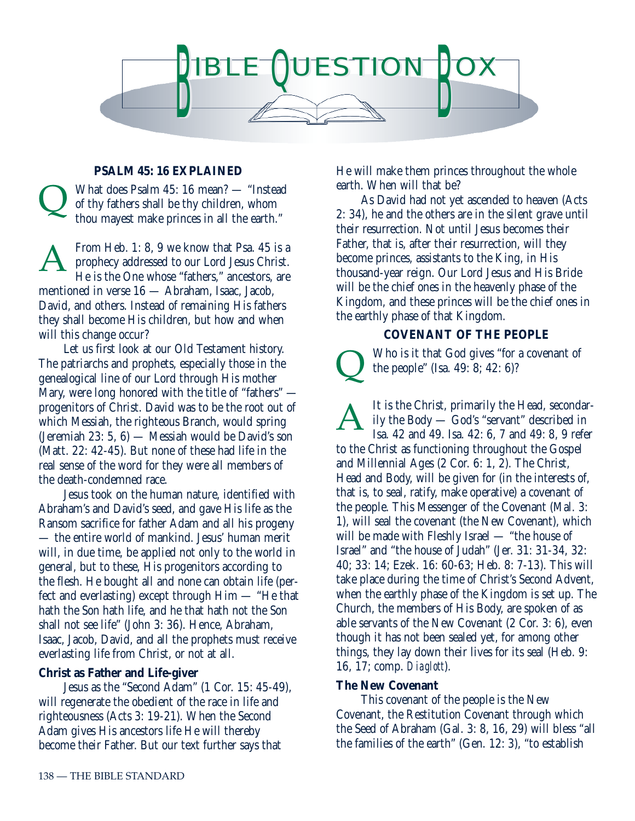

# **PSALM 45: 16 EXPLAINED**

What does Psalm 45: 16 mean? — "Instead of thy fathers shall be thy children, whom thou mayest make princes in all the earth."  $\overline{\mathsf{Q}}$ 

From Heb. 1: 8, 9 we know that Psa. 45 is a prophecy addressed to our Lord Jesus Christ. He is the One whose "fathers," ancestors, are mentioned in verse 16 — Abraham, Isaac, Jacob, David, and others. Instead of remaining His fathers they shall become His children, but how and when will this change occur? A

Let us first look at our Old Testament history. The patriarchs and prophets, especially those in the genealogical line of our Lord through His mother Mary, were long honored with the title of "fathers" progenitors of Christ. David was to be the root out of which Messiah, the righteous Branch, would spring (Jeremiah 23: 5, 6) — Messiah would be David's son (Matt. 22: 42-45). But none of these had life in the real sense of the word for they were all members of the death-condemned race.

Jesus took on the human nature, identified with Abraham's and David's seed, and gave His life as the Ransom sacrifice for father Adam and all his progeny — the entire world of mankind. Jesus' human merit will, in due time, be applied not only to the world in general, but to these, His progenitors according to the flesh. He bought all and none can obtain life (perfect and everlasting) except through Him — "He that hath the Son hath life, and he that hath not the Son shall not see life" (John 3: 36). Hence, Abraham, Isaac, Jacob, David, and all the prophets must receive everlasting life from Christ, or not at all.

#### **Christ as Father and Life-giver**

Jesus as the "Second Adam" (1 Cor. 15: 45-49), will regenerate the obedient of the race in life and righteousness (Acts 3: 19-21). When the Second Adam gives His ancestors life He will thereby become their Father. But our text further says that

He will make them princes throughout the whole earth. When will that be?

As David had not yet ascended to heaven (Acts 2: 34), he and the others are in the silent grave until their resurrection. Not until Jesus becomes their Father, that is, after their resurrection, will they become princes, assistants to the King, in His thousand-year reign. Our Lord Jesus and His Bride will be the chief ones in the heavenly phase of the Kingdom, and these princes will be the chief ones in the earthly phase of that Kingdom.

#### **COVENANT OF THE PEOPLE**

Who is it that God gives "for a covenant of the people" (Isa. 49: 8; 42: 6)?  $\overline{\mathsf{Q}}$ 

It is the Christ, primarily the Head, secondarily the Body — God's "servant" described in Isa. 42 and 49. Isa. 42: 6, 7 and 49: 8, 9 refer to the Christ as functioning throughout the Gospel and Millennial Ages (2 Cor. 6: 1, 2). The Christ, Head and Body, will be given for (in the interests of, that is, to seal, ratify, make operative) a covenant of the people. This Messenger of the Covenant (Mal. 3: 1), will seal the covenant (the New Covenant), which will be made with Fleshly Israel — "the house of Israel" and "the house of Judah" (Jer. 31: 31-34, 32: 40; 33: 14; Ezek. 16: 60-63; Heb. 8: 7-13). This will take place during the time of Christ's Second Advent, when the earthly phase of the Kingdom is set up. The Church, the members of His Body, are spoken of as able servants of the New Covenant (2 Cor. 3: 6), even though it has not been sealed yet, for among other things, they lay down their lives for its seal (Heb. 9: 16, 17; comp. *Diaglott*). A

#### **The New Covenant**

This covenant of the people is the New Covenant, the Restitution Covenant through which the Seed of Abraham (Gal. 3: 8, 16, 29) will bless "all the families of the earth" (Gen. 12: 3), "to establish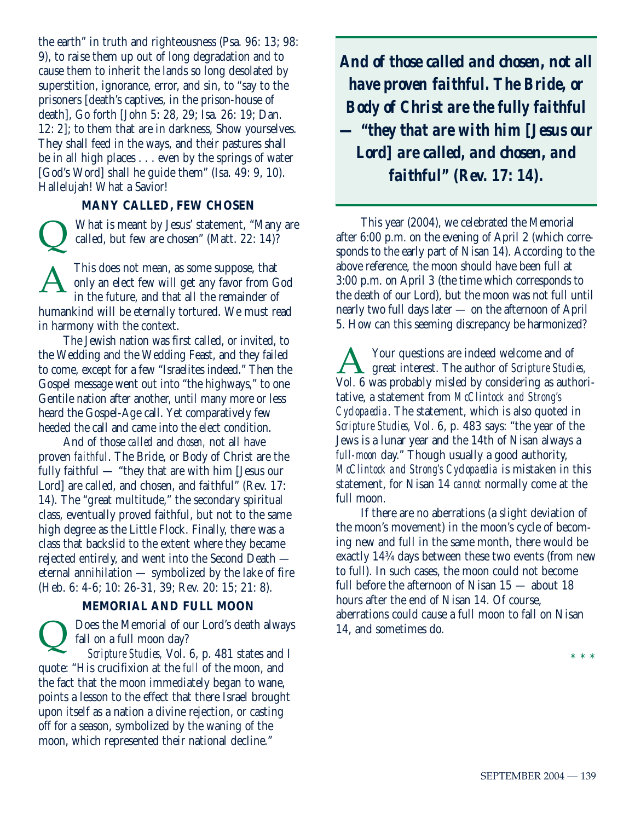the earth" in truth and righteousness (Psa. 96: 13; 98: 9), to raise them up out of long degradation and to cause them to inherit the lands so long desolated by superstition, ignorance, error, and sin, to "say to the prisoners [death's captives, in the prison-house of death], Go forth [John 5: 28, 29; Isa. 26: 19; Dan. 12: 2]; to them that are in darkness, Show yourselves. They shall feed in the ways, and their pastures shall be in all high places . . . even by the springs of water [God's Word] shall he guide them" (Isa. 49: 9, 10). Hallelujah! What a Savior!

#### **MANY CALLED, FEW CHOSEN**

What is meant by Jesus' statement, "Many are called, but few are chosen" (Matt. 22: 14)? This does not mean, as some suppose, that only an elect few will get any favor from God in the future, and that all the remainder of  $\overline{\mathsf{Q}}$ A

humankind will be eternally tortured. We must read in harmony with the context.

The Jewish nation was first called, or invited, to the Wedding and the Wedding Feast, and they failed to come, except for a few "Israelites indeed." Then the Gospel message went out into "the highways," to one Gentile nation after another, until many more or less heard the Gospel-Age call. Yet comparatively few heeded the call and came into the elect condition.

And of those *called* and *chosen,* not all have proven *faithful*. The Bride, or Body of Christ are the fully faithful — "they that are with him [Jesus our Lord] are called, and chosen, and faithful" (Rev. 17: 14). The "great multitude," the secondary spiritual class, eventually proved faithful, but not to the same high degree as the Little Flock. Finally, there was a class that backslid to the extent where they became rejected entirely, and went into the Second Death eternal annihilation — symbolized by the lake of fire (Heb. 6: 4-6; 10: 26-31, 39; Rev. 20: 15; 21: 8).

#### **MEMORIAL AND FULL MOON**

Does the Memorial of our Lord's death always fall on a full moon day? *Scripture Studies,* Vol. 6, p. 481 states and I quote: "His crucifixion at the *full* of the moon, and the fact that the moon immediately began to wane, points a lesson to the effect that there Israel brought upon itself as a nation a divine rejection, or casting off for a season, symbolized by the waning of the moon, which represented their national decline."  $\overline{\mathsf{Q}}$ 

*And of those called and chosen, not all have proven faithful. The Bride, or Body of Christ are the fully faithful — "they that are with him [Jesus our Lord] are called, and chosen, and faithful" (Rev. 17: 14).*

This year (2004), we celebrated the Memorial after 6:00 p.m. on the evening of April 2 (which corresponds to the early part of Nisan 14). According to the above reference, the moon should have been full at 3:00 p.m. on April 3 (the time which corresponds to the death of our Lord), but the moon was not full until nearly two full days later — on the afternoon of April 5. How can this seeming discrepancy be harmonized?

Your questions are indeed welcome and of great interest. The author of *Scripture Studies,* Your questions are indeed welcome and of<br>Vol. 6 was probably misled by considering as authoritative, a statement from *McClintock and Strong's Cyclopaedia*. The statement, which is also quoted in *Scripture Studies,* Vol. 6, p. 483 says: "the year of the Jews is a lunar year and the 14th of Nisan always a *full-moon* day." Though usually a good authority, *McClintock and Strong's Cyclopaedia* is mistaken in this statement, for Nisan 14 *cannot* normally come at the full moon.

If there are no aberrations (a slight deviation of the moon's movement) in the moon's cycle of becoming new and full in the same month, there would be exactly 14¾ days between these two events (from new to full). In such cases, the moon could not become full before the afternoon of Nisan 15 — about 18 hours after the end of Nisan 14. Of course, aberrations could cause a full moon to fall on Nisan 14, and sometimes do.

\* \* \*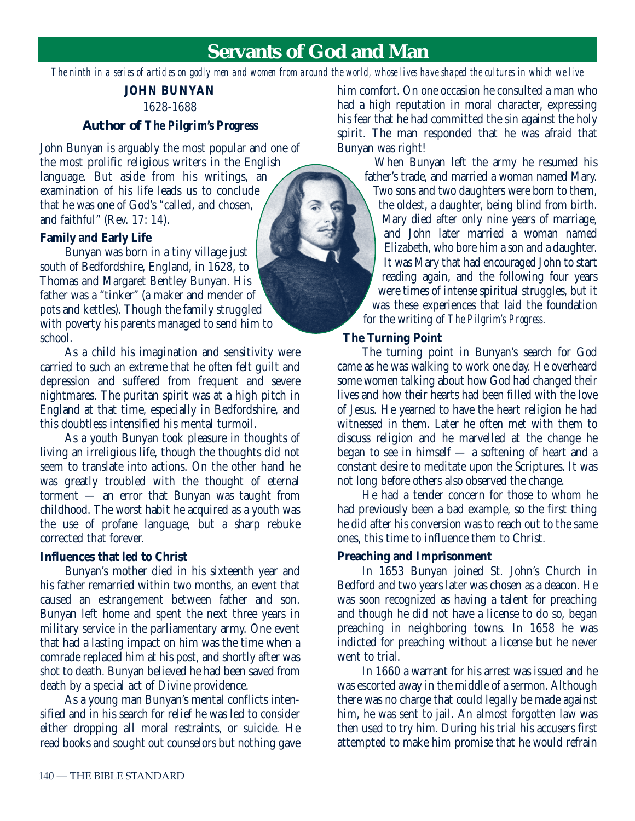# **Servants of God and Man**

*The ninth in a series of articles on godly men and women from around the world, whose lives have shaped the cultures in which we live*

# **JOHN BUNYAN** 1628-1688

#### **Author of** *The Pilgrim's Progress*

John Bunyan is arguably the most popular and one of the most prolific religious writers in the English language. But aside from his writings, an examination of his life leads us to conclude that he was one of God's "called, and chosen, and faithful" (Rev. 17: 14).

#### **Family and Early Life**

Bunyan was born in a tiny village just south of Bedfordshire, England, in 1628, to Thomas and Margaret Bentley Bunyan. His father was a "tinker" (a maker and mender of pots and kettles). Though the family struggled with poverty his parents managed to send him to school.

As a child his imagination and sensitivity were carried to such an extreme that he often felt guilt and depression and suffered from frequent and severe nightmares. The puritan spirit was at a high pitch in England at that time, especially in Bedfordshire, and this doubtless intensified his mental turmoil.

As a youth Bunyan took pleasure in thoughts of living an irreligious life, though the thoughts did not seem to translate into actions. On the other hand he was greatly troubled with the thought of eternal torment — an error that Bunyan was taught from childhood. The worst habit he acquired as a youth was the use of profane language, but a sharp rebuke corrected that forever.

#### **Influences that led to Christ**

Bunyan's mother died in his sixteenth year and his father remarried within two months, an event that caused an estrangement between father and son. Bunyan left home and spent the next three years in military service in the parliamentary army. One event that had a lasting impact on him was the time when a comrade replaced him at his post, and shortly after was shot to death. Bunyan believed he had been saved from death by a special act of Divine providence.

As a young man Bunyan's mental conflicts intensified and in his search for relief he was led to consider either dropping all moral restraints, or suicide. He read books and sought out counselors but nothing gave him comfort. On one occasion he consulted a man who had a high reputation in moral character, expressing his fear that he had committed the sin against the holy spirit. The man responded that he was afraid that Bunyan was right!

When Bunyan left the army he resumed his father's trade, and married a woman named Mary. Two sons and two daughters were born to them, the oldest, a daughter, being blind from birth. Mary died after only nine years of marriage, and John later married a woman named Elizabeth, who bore him a son and a daughter. It was Mary that had encouraged John to start reading again, and the following four years were times of intense spiritual struggles, but it was these experiences that laid the foundation for the writing of *The Pilgrim's Progress*.

#### **The Turning Point**

The turning point in Bunyan's search for God came as he was walking to work one day. He overheard some women talking about how God had changed their lives and how their hearts had been filled with the love of Jesus. He yearned to have the heart religion he had witnessed in them. Later he often met with them to discuss religion and he marvelled at the change he began to see in himself — a softening of heart and a constant desire to meditate upon the Scriptures. It was not long before others also observed the change.

He had a tender concern for those to whom he had previously been a bad example, so the first thing he did after his conversion was to reach out to the same ones, this time to influence them to Christ.

#### **Preaching and Imprisonment**

In 1653 Bunyan joined St. John's Church in Bedford and two years later was chosen as a deacon. He was soon recognized as having a talent for preaching and though he did not have a license to do so, began preaching in neighboring towns. In 1658 he was indicted for preaching without a license but he never went to trial.

In 1660 a warrant for his arrest was issued and he was escorted away in the middle of a sermon. Although there was no charge that could legally be made against him, he was sent to jail. An almost forgotten law was then used to try him. During his trial his accusers first attempted to make him promise that he would refrain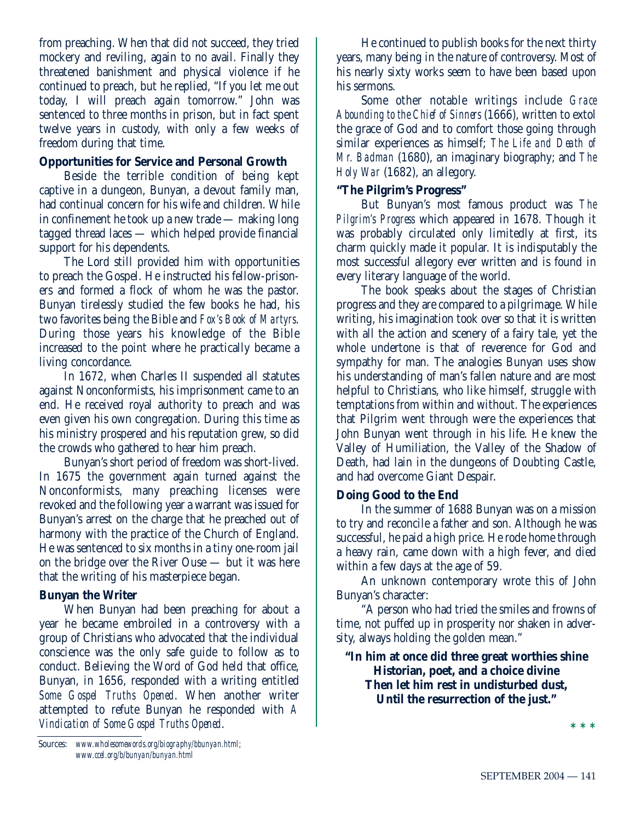from preaching. When that did not succeed, they tried mockery and reviling, again to no avail. Finally they threatened banishment and physical violence if he continued to preach, but he replied, "If you let me out today, I will preach again tomorrow." John was sentenced to three months in prison, but in fact spent twelve years in custody, with only a few weeks of freedom during that time.

## **Opportunities for Service and Personal Growth**

Beside the terrible condition of being kept captive in a dungeon, Bunyan, a devout family man, had continual concern for his wife and children. While in confinement he took up a new trade — making long tagged thread laces — which helped provide financial support for his dependents.

The Lord still provided him with opportunities to preach the Gospel. He instructed his fellow-prisoners and formed a flock of whom he was the pastor. Bunyan tirelessly studied the few books he had, his two favorites being the Bible and *Fox's Book of Martyrs*. During those years his knowledge of the Bible increased to the point where he practically became a living concordance.

In 1672, when Charles II suspended all statutes against Nonconformists, his imprisonment came to an end. He received royal authority to preach and was even given his own congregation. During this time as his ministry prospered and his reputation grew, so did the crowds who gathered to hear him preach.

Bunyan's short period of freedom was short-lived. In 1675 the government again turned against the Nonconformists, many preaching licenses were revoked and the following year a warrant was issued for Bunyan's arrest on the charge that he preached out of harmony with the practice of the Church of England. He was sentenced to six months in a tiny one-room jail on the bridge over the River Ouse — but it was here that the writing of his masterpiece began.

# **Bunyan the Writer**

When Bunyan had been preaching for about a year he became embroiled in a controversy with a group of Christians who advocated that the individual conscience was the only safe guide to follow as to conduct. Believing the Word of God held that office, Bunyan, in 1656, responded with a writing entitled *Some Gospel Truths Opened*. When another writer attempted to refute Bunyan he responded with *A Vindication of Some Gospel Truths Opened*.

He continued to publish books for the next thirty years, many being in the nature of controversy. Most of his nearly sixty works seem to have been based upon his sermons.

Some other notable writings include *Grace Abounding to the Chief of Sinners* (1666), written to extol the grace of God and to comfort those going through similar experiences as himself; *The Life and Death of Mr. Badman* (1680), an imaginary biography; and *The Holy War* (1682), an allegory.

## **"The Pilgrim's Progress"**

But Bunyan's most famous product was *The Pilgrim's Progress* which appeared in 1678. Though it was probably circulated only limitedly at first, its charm quickly made it popular. It is indisputably the most successful allegory ever written and is found in every literary language of the world.

The book speaks about the stages of Christian progress and they are compared to a pilgrimage. While writing, his imagination took over so that it is written with all the action and scenery of a fairy tale, yet the whole undertone is that of reverence for God and sympathy for man. The analogies Bunyan uses show his understanding of man's fallen nature and are most helpful to Christians, who like himself, struggle with temptations from within and without. The experiences that Pilgrim went through were the experiences that John Bunyan went through in his life. He knew the Valley of Humiliation, the Valley of the Shadow of Death, had lain in the dungeons of Doubting Castle, and had overcome Giant Despair.

# **Doing Good to the End**

In the summer of 1688 Bunyan was on a mission to try and reconcile a father and son. Although he was successful, he paid a high price. He rode home through a heavy rain, came down with a high fever, and died within a few days at the age of 59.

An unknown contemporary wrote this of John Bunyan's character:

"A person who had tried the smiles and frowns of time, not puffed up in prosperity nor shaken in adversity, always holding the golden mean."

# **"In him at once did three great worthies shine Historian, poet, and a choice divine Then let him rest in undisturbed dust, Until the resurrection of the just."**

**\* \* \***

Sources: *www.wholesomewords.org/biography/bbunyan.html; www.ccel.org/b/bunyan/bunyan.html*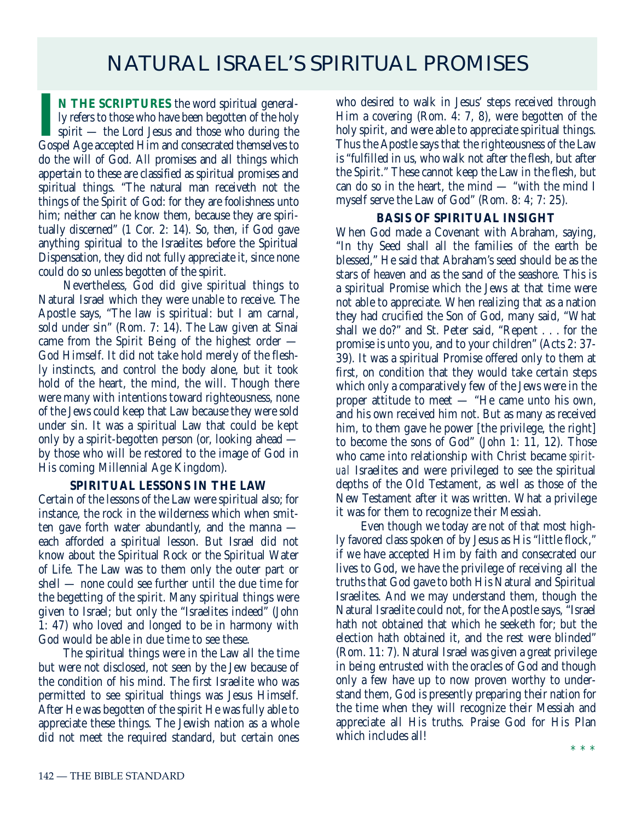# NATURAL ISRAEL'S SPIRITUAL PROMISES

**I**N THE SCRIPTURES the word spiritual generally refers to those who have been begotten of the holy spirit — the Lord Jesus and those who during the Gospel Age accepted Him and consecrated themselves to **N THE SCRIPTURES** the word spiritual generally refers to those who have been begotten of the holy spirit — the Lord Jesus and those who during the do the will of God. All promises and all things which appertain to these are classified as spiritual promises and spiritual things. "The natural man receiveth not the things of the Spirit of God: for they are foolishness unto him; neither can he know them, because they are spiritually discerned" (1 Cor. 2: 14). So, then, if God gave anything spiritual to the Israelites before the Spiritual Dispensation, they did not fully appreciate it, since none could do so unless begotten of the spirit.

Nevertheless, God did give spiritual things to Natural Israel which they were unable to receive. The Apostle says, "The law is spiritual: but I am carnal, sold under sin" (Rom. 7: 14). The Law given at Sinai came from the Spirit Being of the highest order — God Himself. It did not take hold merely of the fleshly instincts, and control the body alone, but it took hold of the heart, the mind, the will. Though there were many with intentions toward righteousness, none of the Jews could keep that Law because they were sold under sin. It was a spiritual Law that could be kept only by a spirit-begotten person (or, looking ahead by those who will be restored to the image of God in His coming Millennial Age Kingdom).

#### **SPIRITUAL LESSONS IN THE LAW**

Certain of the lessons of the Law were spiritual also; for instance, the rock in the wilderness which when smitten gave forth water abundantly, and the manna each afforded a spiritual lesson. But Israel did not know about the Spiritual Rock or the Spiritual Water of Life. The Law was to them only the outer part or shell — none could see further until the due time for the begetting of the spirit. Many spiritual things were given to Israel; but only the "Israelites indeed" (John 1: 47) who loved and longed to be in harmony with God would be able in due time to see these.

The spiritual things were in the Law all the time but were not disclosed, not seen by the Jew because of the condition of his mind. The first Israelite who was permitted to see spiritual things was Jesus Himself. After He was begotten of the spirit He was fully able to appreciate these things. The Jewish nation as a whole did not meet the required standard, but certain ones who desired to walk in Jesus' steps received through Him a covering (Rom. 4: 7, 8), were begotten of the holy spirit, and were able to appreciate spiritual things. Thus the Apostle says that the righteousness of the Law is "fulfilled in us, who walk not after the flesh, but after the Spirit." These cannot keep the Law in the flesh, but can do so in the heart, the mind — "with the mind I myself serve the Law of God" (Rom. 8: 4; 7: 25).

#### **BASIS OF SPIRITUAL INSIGHT**

When God made a Covenant with Abraham, saying, "In thy Seed shall all the families of the earth be blessed," He said that Abraham's seed should be as the stars of heaven and as the sand of the seashore. This is a spiritual Promise which the Jews at that time were not able to appreciate. When realizing that as a nation they had crucified the Son of God, many said, "What shall we do?" and St. Peter said, "Repent . . . for the promise is unto you, and to your children" (Acts 2: 37- 39). It was a spiritual Promise offered only to them at first, on condition that they would take certain steps which only a comparatively few of the Jews were in the proper attitude to meet — "He came unto his own, and his own received him not. But as many as received him, to them gave he power [the privilege, the right] to become the sons of God" (John 1: 11, 12). Those who came into relationship with Christ became *spiritual* Israelites and were privileged to see the spiritual depths of the Old Testament, as well as those of the New Testament after it was written. What a privilege it was for them to recognize their Messiah.

Even though we today are not of that most highly favored class spoken of by Jesus as His "little flock," if we have accepted Him by faith and consecrated our lives to God, we have the privilege of receiving all the truths that God gave to both His Natural and Spiritual Israelites. And we may understand them, though the Natural Israelite could not, for the Apostle says, "Israel hath not obtained that which he seeketh for; but the election hath obtained it, and the rest were blinded" (Rom. 11: 7). Natural Israel was given a great privilege in being entrusted with the oracles of God and though only a few have up to now proven worthy to understand them, God is presently preparing their nation for the time when they will recognize their Messiah and appreciate all His truths. Praise God for His Plan which includes all!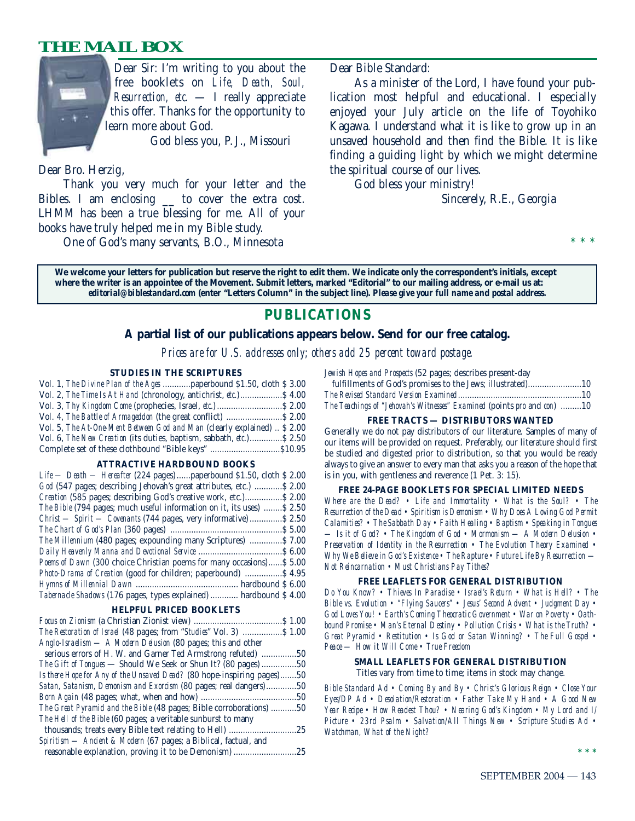# **THE MAIL BOX**



Dear Sir: I'm writing to you about the free booklets on *Life, Death, Soul, Resurrection, etc.* — I really appreciate this offer. Thanks for the opportunity to learn more about God.

God bless you, P. J., Missouri

Dear Bro. Herzig,

Thank you very much for your letter and the Bibles. I am enclosing \_\_ to cover the extra cost. LHMM has been a true blessing for me. All of your books have truly helped me in my Bible study.

One of God's many servants, B.O., Minnesota

Dear Bible Standard:

As a minister of the Lord, I have found your publication most helpful and educational. I especially enjoyed your July article on the life of Toyohiko Kagawa. I understand what it is like to grow up in an unsaved household and then find the Bible. It is like finding a guiding light by which we might determine the spiritual course of our lives.

God bless your ministry!

Sincerely, R.E., Georgia

\* \* \*

**We welcome your letters for publication but reserve the right to edit them. We indicate only the correspondent's initials, except where the writer is an appointee of the Movement. Submit letters, marked "Editorial" to our mailing address, or e-mail us at:** *editorial@biblestandard.com* **(enter "Letters Column" in the subject line).** *Please give your full name and postal address.*

# **PUBLICATIONS**

#### **A partial list of our publications appears below. Send for our free catalog.**

*Prices are for U.S. addresses only; others add 25 percent toward postage.*

#### **STUDIES IN THE SCRIPTURES**

| Vol. 1, The Divine Plan of the Ages  paperbound \$1.50, cloth \$3.00                |  |
|-------------------------------------------------------------------------------------|--|
| Vol. 2, The Time Is At Hand (chronology, antichrist, etc.) \$4.00                   |  |
|                                                                                     |  |
| Vol. 4, The Battle of Armageddon (the great conflict)  \$ 2.00                      |  |
| Vol. 5, The At-One-Ment Between God and Man (clearly explained)  \$ 2.00            |  |
| Vol. 6, <i>The New Creation</i> (its duties, baptism, sabbath, <i>etc.</i> )\$ 2.50 |  |
| Complete set of these clothbound "Bible keys" \$10.95                               |  |

#### **ATTRACTIVE HARDBOUND BOOKS**

| $Life$ — Death — Hereafter (224 pages)  paperbound \$1.50, cloth \$2.00 |
|-------------------------------------------------------------------------|
| God (547 pages; describing Jehovah's great attributes, etc.)  \$ 2.00   |
| Creation (585 pages; describing God's creative work, etc.) \$2.00       |
| The Bible (794 pages; much useful information on it, its uses)  \$2.50  |
| Christ — Spirit — Covenants (744 pages, very informative)  \$ 2.50      |
|                                                                         |
| The Millennium (480 pages; expounding many Scriptures)  \$7.00          |
|                                                                         |
| Poems of Dawn (300 choice Christian poems for many occasions) \$5.00    |
| <i>Photo-Drama of Creation</i> (good for children; paperbound)  \$4.95  |
|                                                                         |
| Tabernacle Shadows (176 pages, types explained)  hardbound \$4.00       |

#### **HELPFUL PRICED BOOKLETS**

| <i>The Restoration of Israel</i> (48 pages; from " <i>Studies</i> " Vol. 3)  \$ 1.00 |     |
|--------------------------------------------------------------------------------------|-----|
| Anglo-Israelism — A Modern Delusion (80 pages; this and other                        |     |
| serious errors of H. W. and Garner Ted Armstrong refuted) 50                         |     |
| <i>The Gift of Tongues</i> — Should We Seek or Shun It? (80 pages) 50                |     |
| Is there Hope for Any of the Unsaved Dead? (80 hope-inspiring pages)50               |     |
| Satan, Satanism, Demonism and Exorcism (80 pages; real dangers)50                    |     |
|                                                                                      |     |
| The Great Pyramid and the Bible (48 pages; Bible corroborations) 50                  |     |
| The Hell of the Bible (60 pages; a veritable sunburst to many                        |     |
|                                                                                      |     |
| Spiritism - Ancient & Modern (67 pages; a Biblical, factual, and                     |     |
| reasonable explanation, proving it to be Demonism                                    | .25 |

*Jewish Hopes and Prospects* (52 pages; describes present-day

| The Teachings of "Jehovah's Witnesses" Examined (points pro and con) 10 |  |
|-------------------------------------------------------------------------|--|

#### **FREE TRACTS — DISTRIBUTORS WANTED**

Generally we do not pay distributors of our literature. Samples of many of our items will be provided on request. Preferably, our literature should first be studied and digested prior to distribution, so that you would be ready always to give an answer to every man that asks you a reason of the hope that is in you, with gentleness and reverence (1 Pet. 3: 15).

#### **FREE 24-PAGE BOOKLETS FOR SPECIAL LIMITED NEEDS**

*Where are the Dead? • Life and Immortality • What is the Soul? • The Resurrection of the Dead • Spiritism is Demonism • Why Does A Loving God Permit Calamities? • The Sabbath Day • Faith Healing • Baptism • Speaking in Tongues — Is it of God? • The Kingdom of God • Mormonism — A Modern Delusion • Preservation of Identity in the Resurrection • The Evolution Theory Examined • Why We Believe in God's Existence • The Rapture • Future Life By Resurrection — Not Reincarnation • Must Christians Pay Tithes?*

#### **FREE LEAFLETS FOR GENERAL DISTRIBUTION**

*Do You Know? • Thieves In Paradise • Israel's Return • What is Hell? • The Bible vs. Evolution • "Flying Saucers" • Jesus' Second Advent • Judgment Day • God Loves You! • Earth's Coming Theocratic Government • War on Poverty • Oathbound Promise • Man's Eternal Destiny • Pollution Crisis • What is the Truth? • Great Pyramid • Restitution • Is God or Satan Winning? • The Full Gospel • Peace — How it Will Come • True Freedom*

#### **SMALL LEAFLETS FOR GENERAL DISTRIBUTION**

Titles vary from time to time; items in stock may change.

*Bible Standard Ad • Coming By and By • Christ's Glorious Reign • Close Your Eyes/DP Ad • Desolation/Restoration • Father Take My Hand • A Good New Year Recipe • How Readest Thou? • Nearing God's Kingdom • My Lord and I/ Picture • 23rd Psalm • Salvation/All Things New • Scripture Studies Ad • Watchman, What of the Night?*

**\*\*\***